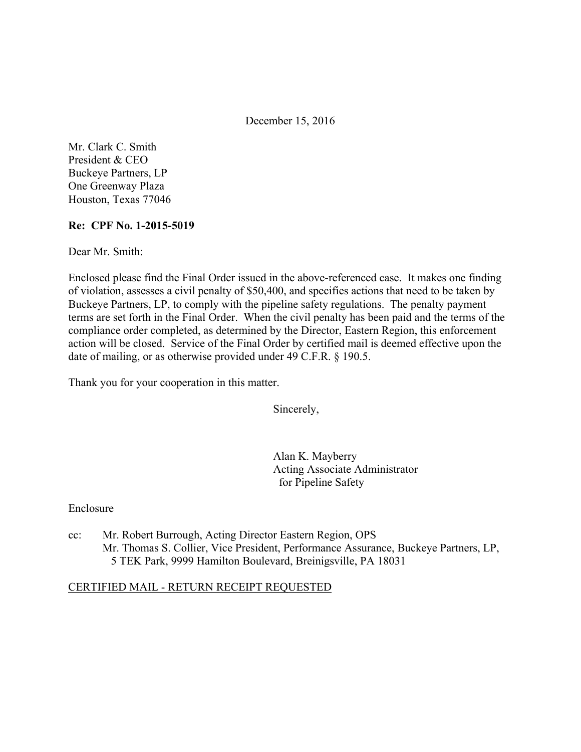December 15, 2016

Mr. Clark C. Smith President & CEO Buckeye Partners, LP One Greenway Plaza Houston, Texas 77046

## **Re: CPF No. 1-2015-5019**

Dear Mr. Smith:

Enclosed please find the Final Order issued in the above-referenced case. It makes one finding of violation, assesses a civil penalty of \$50,400, and specifies actions that need to be taken by Buckeye Partners, LP, to comply with the pipeline safety regulations. The penalty payment terms are set forth in the Final Order. When the civil penalty has been paid and the terms of the compliance order completed, as determined by the Director, Eastern Region, this enforcement action will be closed. Service of the Final Order by certified mail is deemed effective upon the date of mailing, or as otherwise provided under 49 C.F.R. § 190.5.

Thank you for your cooperation in this matter.

Sincerely,

Alan K. Mayberry Acting Associate Administrator for Pipeline Safety

Enclosure

cc: Mr. Robert Burrough, Acting Director Eastern Region, OPS Mr. Thomas S. Collier, Vice President, Performance Assurance, Buckeye Partners, LP, 5 TEK Park, 9999 Hamilton Boulevard, Breinigsville, PA 18031

#### CERTIFIED MAIL - RETURN RECEIPT REQUESTED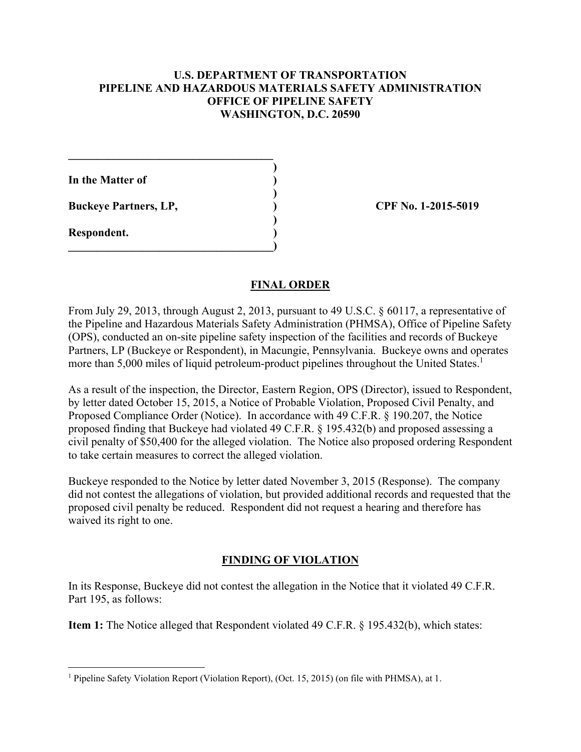## **U.S. DEPARTMENT OF TRANSPORTATION PIPELINE AND HAZARDOUS MATERIALS SAFETY ADMINISTRATION OFFICE OF PIPELINE SAFETY WASHINGTON, D.C. 20590**

**In the Matter of )** 

**Buckeye Partners, LP,**  (2015-5019)

 $\mathcal{L}=\{1,2,3,4,5\}$  **)** 

 **)** 

 **)** 

**\_\_\_\_\_\_\_\_\_\_\_\_\_\_\_\_\_\_\_\_\_\_\_\_\_\_\_\_\_\_\_\_\_\_\_\_)** 

**Respondent. )** 

 $\overline{a}$ 

## **FINAL ORDER**

From July 29, 2013, through August 2, 2013, pursuant to 49 U.S.C. § 60117, a representative of the Pipeline and Hazardous Materials Safety Administration (PHMSA), Office of Pipeline Safety (OPS), conducted an on-site pipeline safety inspection of the facilities and records of Buckeye Partners, LP (Buckeye or Respondent), in Macungie, Pennsylvania. Buckeye owns and operates more than 5,000 miles of liquid petroleum-product pipelines throughout the United States.<sup>1</sup>

As a result of the inspection, the Director, Eastern Region, OPS (Director), issued to Respondent, by letter dated October 15, 2015, a Notice of Probable Violation, Proposed Civil Penalty, and Proposed Compliance Order (Notice). In accordance with 49 C.F.R. § 190.207, the Notice proposed finding that Buckeye had violated 49 C.F.R. § 195.432(b) and proposed assessing a civil penalty of \$50,400 for the alleged violation. The Notice also proposed ordering Respondent to take certain measures to correct the alleged violation.

Buckeye responded to the Notice by letter dated November 3, 2015 (Response). The company did not contest the allegations of violation, but provided additional records and requested that the proposed civil penalty be reduced. Respondent did not request a hearing and therefore has waived its right to one.

# **FINDING OF VIOLATION**

In its Response, Buckeye did not contest the allegation in the Notice that it violated 49 C.F.R. Part 195, as follows:

**Item 1:** The Notice alleged that Respondent violated 49 C.F.R. § 195.432(b), which states:

<sup>&</sup>lt;sup>1</sup> Pipeline Safety Violation Report (Violation Report), (Oct. 15, 2015) (on file with PHMSA), at 1.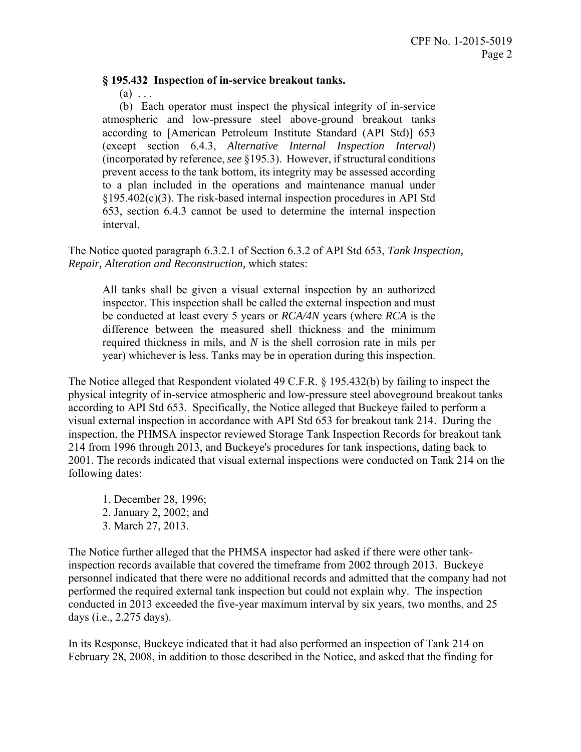#### **§ 195.432 Inspection of in-service breakout tanks.**

 $(a) \ldots$ 

 (b) Each operator must inspect the physical integrity of in-service atmospheric and low-pressure steel above-ground breakout tanks according to [American Petroleum Institute Standard (API Std)] 653 (except section 6.4.3, *Alternative Internal Inspection Interval*) (incorporated by reference, *see* §195.3). However, if structural conditions prevent access to the tank bottom, its integrity may be assessed according to a plan included in the operations and maintenance manual under §195.402(c)(3). The risk-based internal inspection procedures in API Std 653, section 6.4.3 cannot be used to determine the internal inspection interval.

The Notice quoted paragraph 6.3.2.1 of Section 6.3.2 of API Std 653, *Tank Inspection, Repair, Alteration and Reconstruction,* which states:

All tanks shall be given a visual external inspection by an authorized inspector. This inspection shall be called the external inspection and must be conducted at least every 5 years or *RCA/4N* years (where *RCA* is the difference between the measured shell thickness and the minimum required thickness in mils, and *N* is the shell corrosion rate in mils per year) whichever is less. Tanks may be in operation during this inspection.

The Notice alleged that Respondent violated 49 C.F.R. § 195.432(b) by failing to inspect the physical integrity of in-service atmospheric and low-pressure steel aboveground breakout tanks according to API Std 653. Specifically, the Notice alleged that Buckeye failed to perform a visual external inspection in accordance with API Std 653 for breakout tank 214. During the inspection, the PHMSA inspector reviewed Storage Tank Inspection Records for breakout tank 214 from 1996 through 2013, and Buckeye's procedures for tank inspections, dating back to 2001. The records indicated that visual external inspections were conducted on Tank 214 on the following dates:

1. December 28, 1996; 2. January 2, 2002; and 3. March 27, 2013.

The Notice further alleged that the PHMSA inspector had asked if there were other tankinspection records available that covered the timeframe from 2002 through 2013. Buckeye personnel indicated that there were no additional records and admitted that the company had not performed the required external tank inspection but could not explain why. The inspection conducted in 2013 exceeded the five-year maximum interval by six years, two months, and 25 days (i.e., 2,275 days).

In its Response, Buckeye indicated that it had also performed an inspection of Tank 214 on February 28, 2008, in addition to those described in the Notice, and asked that the finding for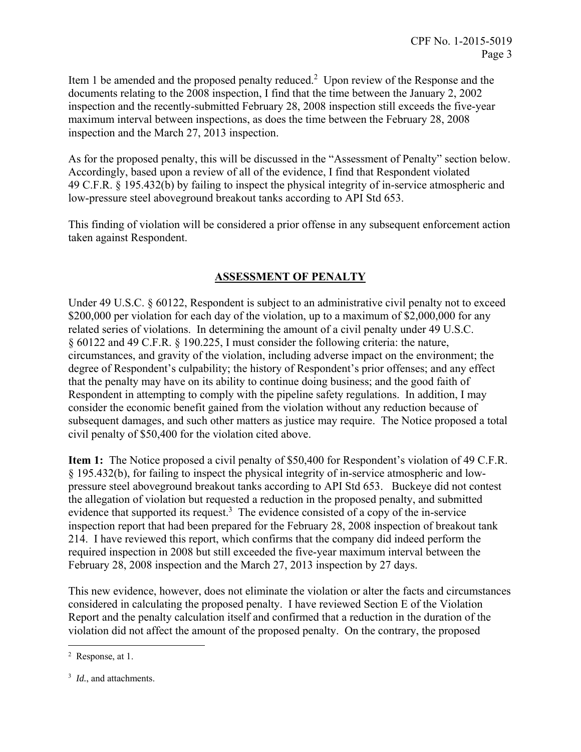Item 1 be amended and the proposed penalty reduced.<sup>2</sup> Upon review of the Response and the documents relating to the 2008 inspection, I find that the time between the January 2, 2002 inspection and the recently-submitted February 28, 2008 inspection still exceeds the five-year maximum interval between inspections, as does the time between the February 28, 2008 inspection and the March 27, 2013 inspection.

As for the proposed penalty, this will be discussed in the "Assessment of Penalty" section below. Accordingly, based upon a review of all of the evidence, I find that Respondent violated 49 C.F.R. § 195.432(b) by failing to inspect the physical integrity of in-service atmospheric and low-pressure steel aboveground breakout tanks according to API Std 653.

This finding of violation will be considered a prior offense in any subsequent enforcement action taken against Respondent.

# **ASSESSMENT OF PENALTY**

Under 49 U.S.C. § 60122, Respondent is subject to an administrative civil penalty not to exceed \$200,000 per violation for each day of the violation, up to a maximum of \$2,000,000 for any related series of violations. In determining the amount of a civil penalty under 49 U.S.C. § 60122 and 49 C.F.R. § 190.225, I must consider the following criteria: the nature, circumstances, and gravity of the violation, including adverse impact on the environment; the degree of Respondent's culpability; the history of Respondent's prior offenses; and any effect that the penalty may have on its ability to continue doing business; and the good faith of Respondent in attempting to comply with the pipeline safety regulations. In addition, I may consider the economic benefit gained from the violation without any reduction because of subsequent damages, and such other matters as justice may require. The Notice proposed a total civil penalty of \$50,400 for the violation cited above.

**Item 1:** The Notice proposed a civil penalty of \$50,400 for Respondent's violation of 49 C.F.R. § 195.432(b), for failing to inspect the physical integrity of in-service atmospheric and lowpressure steel aboveground breakout tanks according to API Std 653. Buckeye did not contest the allegation of violation but requested a reduction in the proposed penalty, and submitted evidence that supported its request.<sup>3</sup> The evidence consisted of a copy of the in-service inspection report that had been prepared for the February 28, 2008 inspection of breakout tank 214. I have reviewed this report, which confirms that the company did indeed perform the required inspection in 2008 but still exceeded the five-year maximum interval between the February 28, 2008 inspection and the March 27, 2013 inspection by 27 days.

This new evidence, however, does not eliminate the violation or alter the facts and circumstances considered in calculating the proposed penalty. I have reviewed Section E of the Violation Report and the penalty calculation itself and confirmed that a reduction in the duration of the violation did not affect the amount of the proposed penalty. On the contrary, the proposed

 $\overline{a}$ 

<sup>2</sup> Response, at 1.

<sup>&</sup>lt;sup>3</sup> *Id.*, and attachments.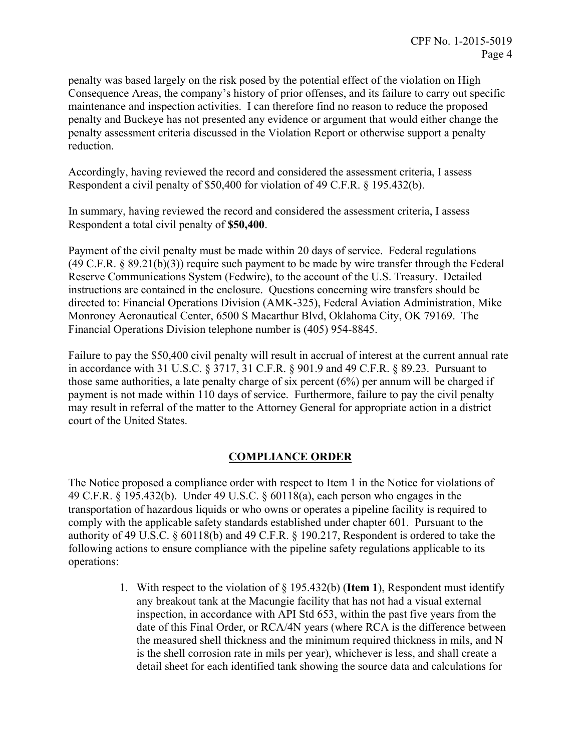penalty was based largely on the risk posed by the potential effect of the violation on High Consequence Areas, the company's history of prior offenses, and its failure to carry out specific maintenance and inspection activities. I can therefore find no reason to reduce the proposed penalty and Buckeye has not presented any evidence or argument that would either change the penalty assessment criteria discussed in the Violation Report or otherwise support a penalty reduction.

Accordingly, having reviewed the record and considered the assessment criteria, I assess Respondent a civil penalty of \$50,400 for violation of 49 C.F.R. § 195.432(b).

In summary, having reviewed the record and considered the assessment criteria, I assess Respondent a total civil penalty of **\$50,400**.

Payment of the civil penalty must be made within 20 days of service. Federal regulations (49 C.F.R. § 89.21(b)(3)) require such payment to be made by wire transfer through the Federal Reserve Communications System (Fedwire), to the account of the U.S. Treasury. Detailed instructions are contained in the enclosure. Questions concerning wire transfers should be directed to: Financial Operations Division (AMK-325), Federal Aviation Administration, Mike Monroney Aeronautical Center, 6500 S Macarthur Blvd, Oklahoma City, OK 79169. The Financial Operations Division telephone number is (405) 954-8845.

Failure to pay the \$50,400 civil penalty will result in accrual of interest at the current annual rate in accordance with 31 U.S.C. § 3717, 31 C.F.R. § 901.9 and 49 C.F.R. § 89.23. Pursuant to those same authorities, a late penalty charge of six percent (6%) per annum will be charged if payment is not made within 110 days of service. Furthermore, failure to pay the civil penalty may result in referral of the matter to the Attorney General for appropriate action in a district court of the United States.

# **COMPLIANCE ORDER**

The Notice proposed a compliance order with respect to Item 1 in the Notice for violations of 49 C.F.R. § 195.432(b). Under 49 U.S.C. § 60118(a), each person who engages in the transportation of hazardous liquids or who owns or operates a pipeline facility is required to comply with the applicable safety standards established under chapter 601. Pursuant to the authority of 49 U.S.C. § 60118(b) and 49 C.F.R. § 190.217, Respondent is ordered to take the following actions to ensure compliance with the pipeline safety regulations applicable to its operations:

> 1. With respect to the violation of § 195.432(b) (**Item 1**), Respondent must identify any breakout tank at the Macungie facility that has not had a visual external inspection, in accordance with API Std 653, within the past five years from the date of this Final Order, or RCA/4N years (where RCA is the difference between the measured shell thickness and the minimum required thickness in mils, and N is the shell corrosion rate in mils per year), whichever is less, and shall create a detail sheet for each identified tank showing the source data and calculations for